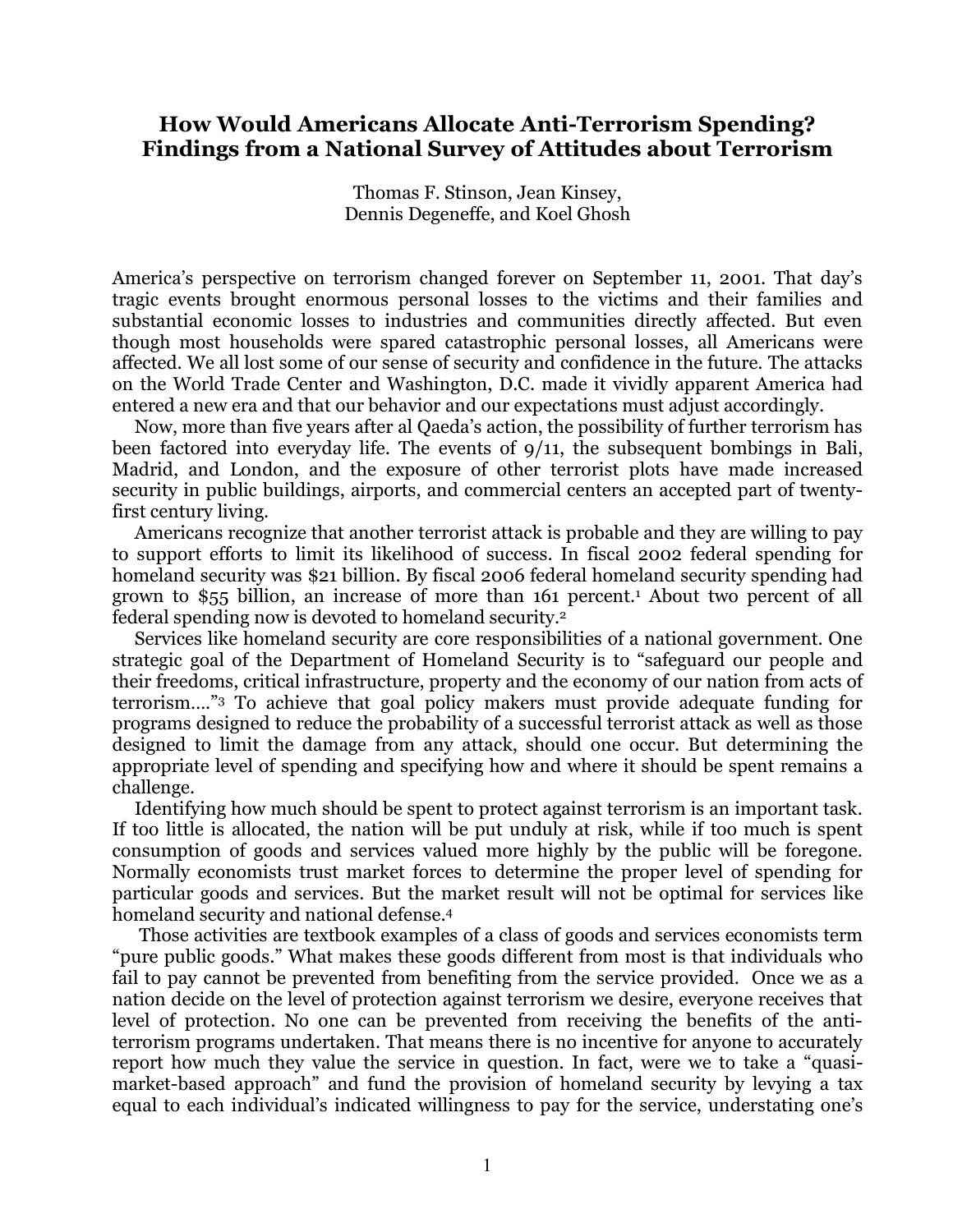## **How Would Americans Allocate Anti-Terrorism Spending? Findings from a National Survey of Attitudes about Terrorism**

Thomas F. Stinson, Jean Kinsey, Dennis Degeneffe, and Koel Ghosh

America's perspective on terrorism changed forever on September 11, 2001. That day's tragic events brought enormous personal losses to the victims and their families and substantial economic losses to industries and communities directly affected. But even though most households were spared catastrophic personal losses, all Americans were affected. We all lost some of our sense of security and confidence in the future. The attacks on the World Trade Center and Washington, D.C. made it vividly apparent America had entered a new era and that our behavior and our expectations must adjust accordingly.

Now, more than five years after al Qaeda's action, the possibility of further terrorism has been factored into everyday life. The events of 9/11, the subsequent bombings in Bali, Madrid, and London, and the exposure of other terrorist plots have made increased security in public buildings, airports, and commercial centers an accepted part of twentyfirst century living.

Americans recognize that another terrorist attack is probable and they are willing to pay to support efforts to limit its likelihood of success. In fiscal 2002 federal spending for homeland security was \$21 billion. By fiscal 2006 federal homeland security spending had grown to \$55 billion, an increase of more than 161 percent.1 About two percent of all federal spending now is devoted to homeland security. 2

Services like homeland security are core responsibilities of a national government. One strategic goal of the Department of Homeland Security is to "safeguard our people and their freedoms, critical infrastructure, property and the economy of our nation from acts of terrorism…."3 To achieve that goal policy makers must provide adequate funding for programs designed to reduce the probability of a successful terrorist attack as well as those designed to limit the damage from any attack, should one occur. But determining the appropriate level of spending and specifying how and where it should be spent remains a challenge.

Identifying how much should be spent to protect against terrorism is an important task. If too little is allocated, the nation will be put unduly at risk, while if too much is spent consumption of goods and services valued more highly by the public will be foregone. Normally economists trust market forces to determine the proper level of spending for particular goods and services. But the market result will not be optimal for services like homeland security and national defense.4

Those activities are textbook examples of a class of goods and services economists term "pure public goods." What makes these goods different from most is that individuals who fail to pay cannot be prevented from benefiting from the service provided. Once we as a nation decide on the level of protection against terrorism we desire, everyone receives that level of protection. No one can be prevented from receiving the benefits of the antiterrorism programs undertaken. That means there is no incentive for anyone to accurately report how much they value the service in question. In fact, were we to take a "quasimarket-based approach" and fund the provision of homeland security by levying a tax equal to each individual's indicated willingness to pay for the service, understating one's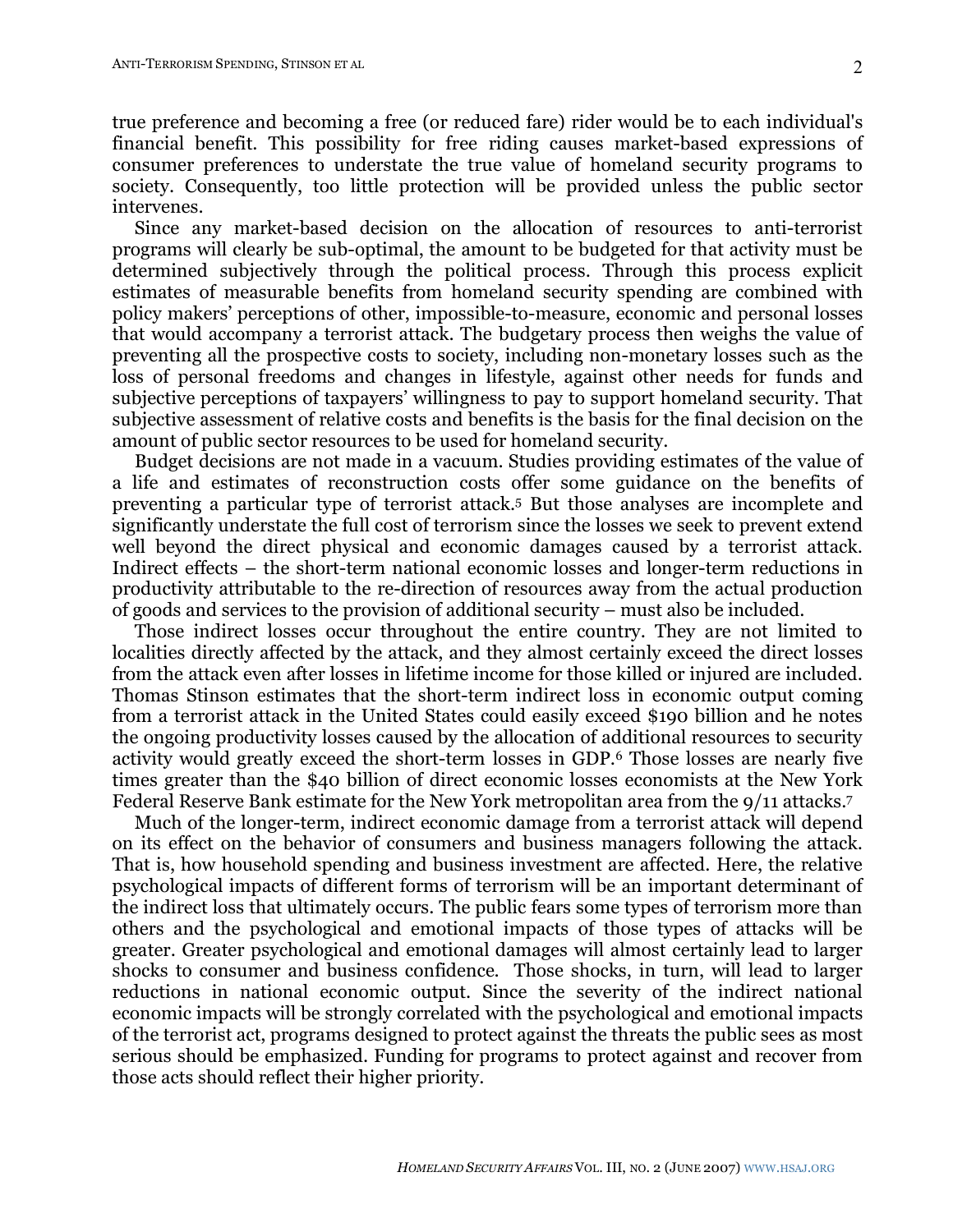true preference and becoming a free (or reduced fare) rider would be to each individual's financial benefit. This possibility for free riding causes market-based expressions of consumer preferences to understate the true value of homeland security programs to society. Consequently, too little protection will be provided unless the public sector intervenes.

Since any market-based decision on the allocation of resources to anti-terrorist programs will clearly be sub-optimal, the amount to be budgeted for that activity must be determined subjectively through the political process. Through this process explicit estimates of measurable benefits from homeland security spending are combined with policy makers' perceptions of other, impossible-to-measure, economic and personal losses that would accompany a terrorist attack. The budgetary process then weighs the value of preventing all the prospective costs to society, including non-monetary losses such as the loss of personal freedoms and changes in lifestyle, against other needs for funds and subjective perceptions of taxpayers' willingness to pay to support homeland security. That subjective assessment of relative costs and benefits is the basis for the final decision on the amount of public sector resources to be used for homeland security.

Budget decisions are not made in a vacuum. Studies providing estimates of the value of a life and estimates of reconstruction costs offer some guidance on the benefits of preventing a particular type of terrorist attack. <sup>5</sup> But those analyses are incomplete and significantly understate the full cost of terrorism since the losses we seek to prevent extend well beyond the direct physical and economic damages caused by a terrorist attack. Indirect effects – the short-term national economic losses and longer-term reductions in productivity attributable to the re-direction of resources away from the actual production of goods and services to the provision of additional security – must also be included.

Those indirect losses occur throughout the entire country. They are not limited to localities directly affected by the attack, and they almost certainly exceed the direct losses from the attack even after losses in lifetime income for those killed or injured are included. Thomas Stinson estimates that the short-term indirect loss in economic output coming from a terrorist attack in the United States could easily exceed \$190 billion and he notes the ongoing productivity losses caused by the allocation of additional resources to security activity would greatly exceed the short-term losses in GDP.6 Those losses are nearly five times greater than the \$40 billion of direct economic losses economists at the New York Federal Reserve Bank estimate for the New York metropolitan area from the 9/11 attacks.7

Much of the longer-term, indirect economic damage from a terrorist attack will depend on its effect on the behavior of consumers and business managers following the attack. That is, how household spending and business investment are affected. Here, the relative psychological impacts of different forms of terrorism will be an important determinant of the indirect loss that ultimately occurs. The public fears some types of terrorism more than others and the psychological and emotional impacts of those types of attacks will be greater. Greater psychological and emotional damages will almost certainly lead to larger shocks to consumer and business confidence. Those shocks, in turn, will lead to larger reductions in national economic output. Since the severity of the indirect national economic impacts will be strongly correlated with the psychological and emotional impacts of the terrorist act, programs designed to protect against the threats the public sees as most serious should be emphasized. Funding for programs to protect against and recover from those acts should reflect their higher priority.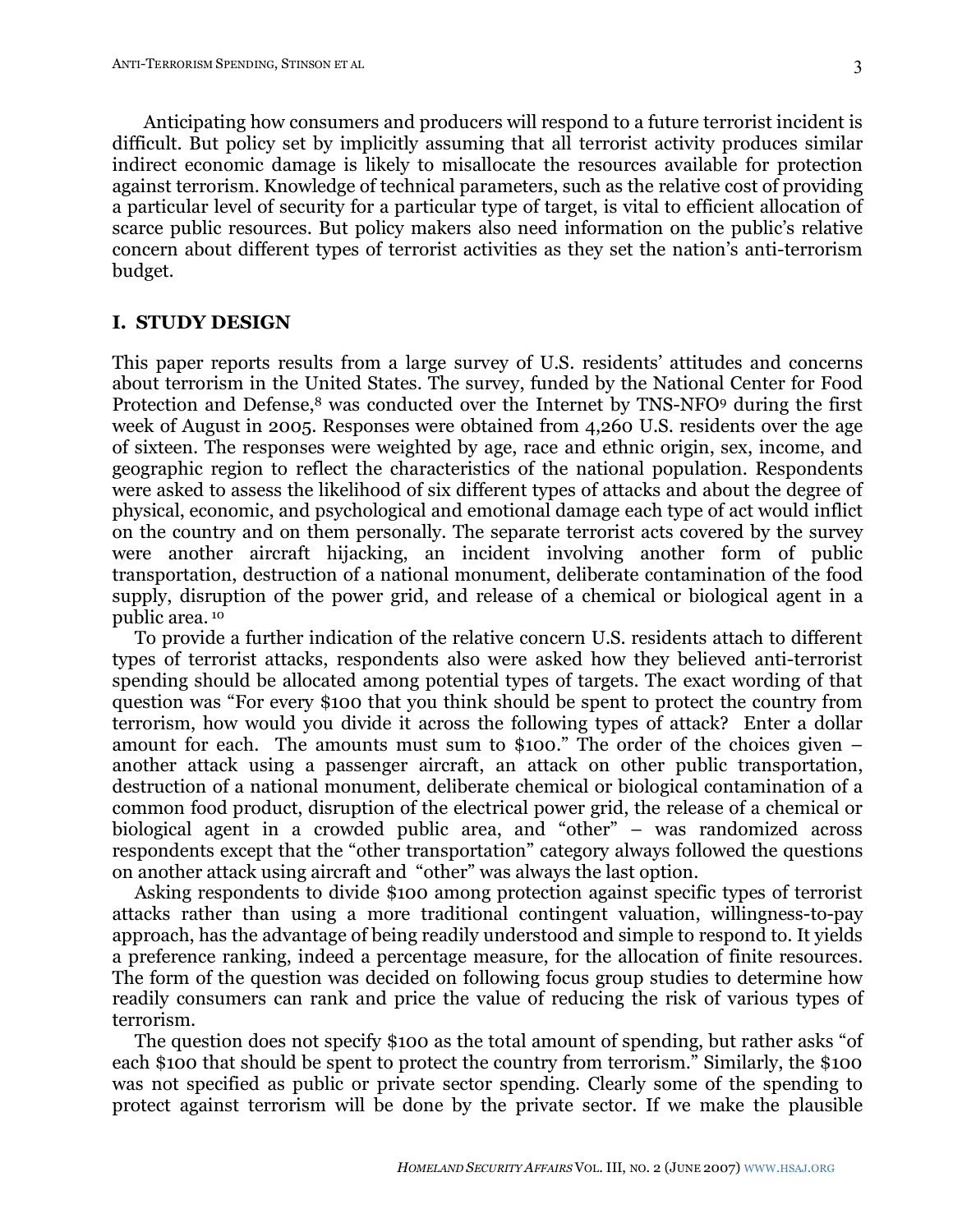Anticipating how consumers and producers will respond to a future terrorist incident is difficult. But policy set by implicitly assuming that all terrorist activity produces similar indirect economic damage is likely to misallocate the resources available for protection against terrorism. Knowledge of technical parameters, such as the relative cost of providing a particular level of security for a particular type of target, is vital to efficient allocation of scarce public resources. But policy makers also need information on the public's relative concern about different types of terrorist activities as they set the nation's anti-terrorism budget.

### **I. STUDY DESIGN**

This paper reports results from a large survey of U.S. residents' attitudes and concerns about terrorism in the United States. The survey, funded by the National Center for Food Protection and Defense,<sup>8</sup> was conducted over the Internet by TNS-NFO9 during the first week of August in 2005. Responses were obtained from 4,260 U.S. residents over the age of sixteen. The responses were weighted by age, race and ethnic origin, sex, income, and geographic region to reflect the characteristics of the national population. Respondents were asked to assess the likelihood of six different types of attacks and about the degree of physical, economic, and psychological and emotional damage each type of act would inflict on the country and on them personally. The separate terrorist acts covered by the survey were another aircraft hijacking, an incident involving another form of public transportation, destruction of a national monument, deliberate contamination of the food supply, disruption of the power grid, and release of a chemical or biological agent in a public area. <sup>10</sup>

To provide a further indication of the relative concern U.S. residents attach to different types of terrorist attacks, respondents also were asked how they believed anti-terrorist spending should be allocated among potential types of targets. The exact wording of that question was "For every \$100 that you think should be spent to protect the country from terrorism, how would you divide it across the following types of attack? Enter a dollar amount for each. The amounts must sum to \$100." The order of the choices given – another attack using a passenger aircraft, an attack on other public transportation, destruction of a national monument, deliberate chemical or biological contamination of a common food product, disruption of the electrical power grid, the release of a chemical or biological agent in a crowded public area, and "other" – was randomized across respondents except that the "other transportation" category always followed the questions on another attack using aircraft and "other" was always the last option.

Asking respondents to divide \$100 among protection against specific types of terrorist attacks rather than using a more traditional contingent valuation, willingness-to-pay approach, has the advantage of being readily understood and simple to respond to. It yields a preference ranking, indeed a percentage measure, for the allocation of finite resources. The form of the question was decided on following focus group studies to determine how readily consumers can rank and price the value of reducing the risk of various types of terrorism.

The question does not specify \$100 as the total amount of spending, but rather asks "of each \$100 that should be spent to protect the country from terrorism." Similarly, the \$100 was not specified as public or private sector spending. Clearly some of the spending to protect against terrorism will be done by the private sector. If we make the plausible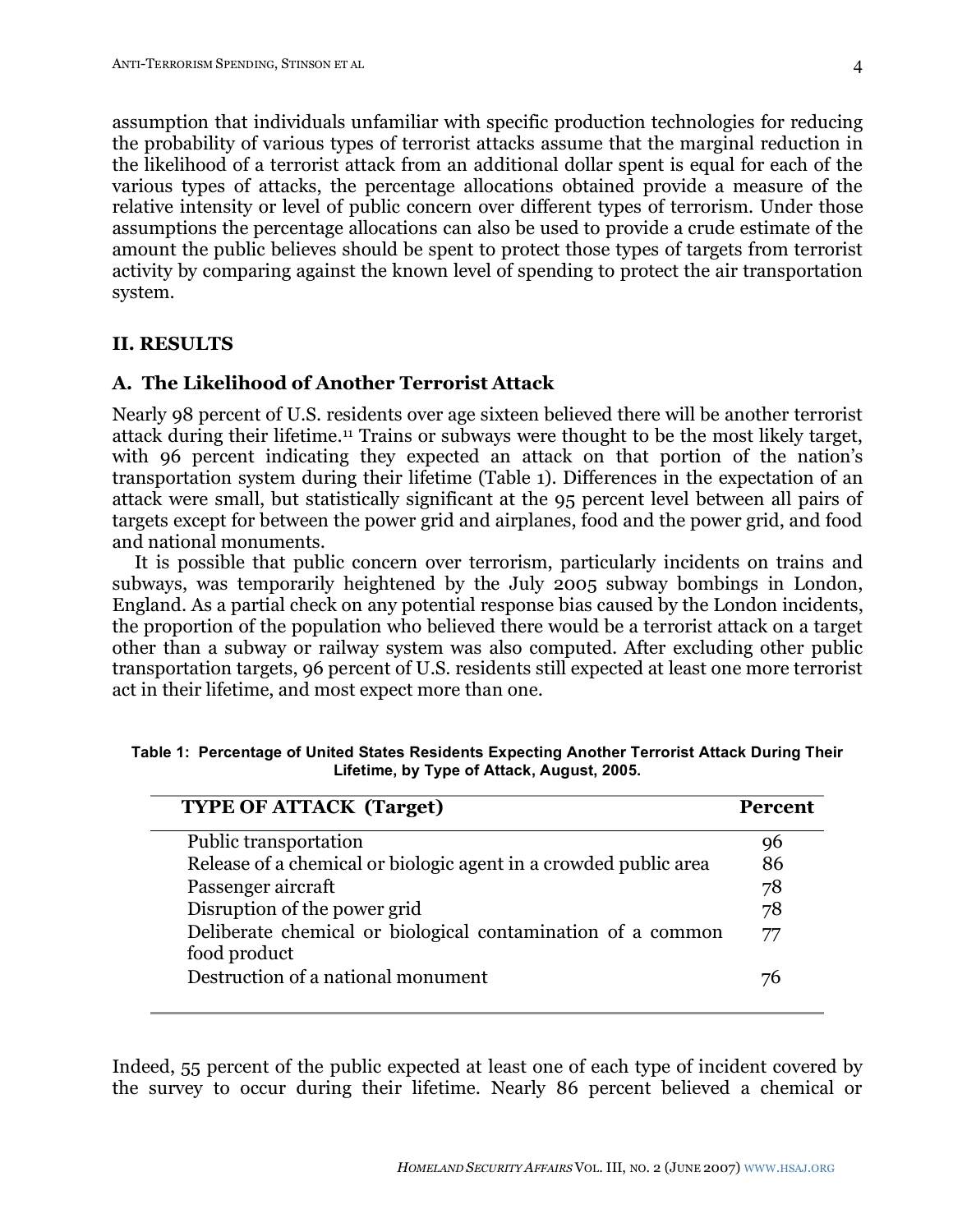assumption that individuals unfamiliar with specific production technologies for reducing the probability of various types of terrorist attacks assume that the marginal reduction in the likelihood of a terrorist attack from an additional dollar spent is equal for each of the various types of attacks, the percentage allocations obtained provide a measure of the relative intensity or level of public concern over different types of terrorism. Under those assumptions the percentage allocations can also be used to provide a crude estimate of the amount the public believes should be spent to protect those types of targets from terrorist activity by comparing against the known level of spending to protect the air transportation system.

### **II. RESULTS**

## **A. The Likelihood of Another Terrorist Attack**

Nearly 98 percent of U.S. residents over age sixteen believed there will be another terrorist attack during their lifetime.11 Trains or subways were thought to be the most likely target, with 96 percent indicating they expected an attack on that portion of the nation's transportation system during their lifetime (Table 1). Differences in the expectation of an attack were small, but statistically significant at the 95 percent level between all pairs of targets except for between the power grid and airplanes, food and the power grid, and food and national monuments.

It is possible that public concern over terrorism, particularly incidents on trains and subways, was temporarily heightened by the July 2005 subway bombings in London, England. As a partial check on any potential response bias caused by the London incidents, the proportion of the population who believed there would be a terrorist attack on a target other than a subway or railway system was also computed. After excluding other public transportation targets, 96 percent of U.S. residents still expected at least one more terrorist act in their lifetime, and most expect more than one.

| <b>TYPE OF ATTACK (Target)</b>                                              | <b>Percent</b> |
|-----------------------------------------------------------------------------|----------------|
| Public transportation                                                       |                |
| Release of a chemical or biologic agent in a crowded public area            | 86             |
| Passenger aircraft                                                          | 78             |
| Disruption of the power grid                                                | 78             |
| Deliberate chemical or biological contamination of a common<br>food product | 77             |
| Destruction of a national monument                                          |                |

**Table 1: Percentage of United States Residents Expecting Another Terrorist Attack During Their Lifetime, by Type of Attack, August, 2005.**

Indeed, 55 percent of the public expected at least one of each type of incident covered by the survey to occur during their lifetime. Nearly 86 percent believed a chemical or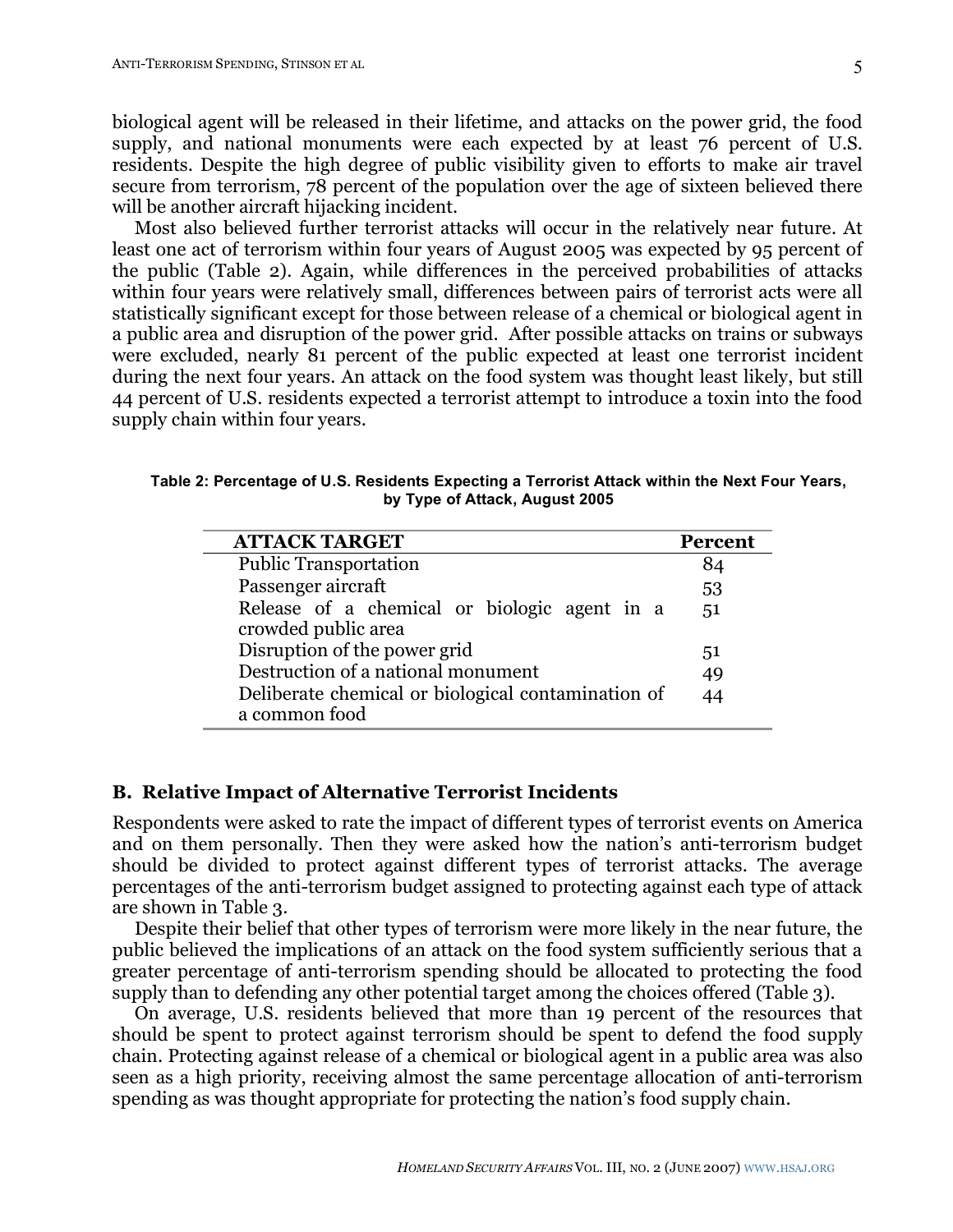biological agent will be released in their lifetime, and attacks on the power grid, the food supply, and national monuments were each expected by at least 76 percent of U.S. residents. Despite the high degree of public visibility given to efforts to make air travel secure from terrorism, 78 percent of the population over the age of sixteen believed there will be another aircraft hijacking incident.

Most also believed further terrorist attacks will occur in the relatively near future. At least one act of terrorism within four years of August 2005 was expected by 95 percent of the public (Table 2). Again, while differences in the perceived probabilities of attacks within four years were relatively small, differences between pairs of terrorist acts were all statistically significant except for those between release of a chemical or biological agent in a public area and disruption of the power grid. After possible attacks on trains or subways were excluded, nearly 81 percent of the public expected at least one terrorist incident during the next four years. An attack on the food system was thought least likely, but still 44 percent of U.S. residents expected a terrorist attempt to introduce a toxin into the food supply chain within four years.

**Table 2: Percentage of U.S. Residents Expecting a Terrorist Attack within the Next Four Years, by Type of Attack, August 2005**

| <b>ATTACK TARGET</b>                                                | <b>Percent</b> |
|---------------------------------------------------------------------|----------------|
| <b>Public Transportation</b>                                        |                |
| Passenger aircraft                                                  | 53             |
| Release of a chemical or biologic agent in a<br>crowded public area | ,51            |
| Disruption of the power grid                                        | 51             |
| Destruction of a national monument                                  | 49             |
| Deliberate chemical or biological contamination of<br>a common food | 44             |

### **B. Relative Impact of Alternative Terrorist Incidents**

Respondents were asked to rate the impact of different types of terrorist events on America and on them personally. Then they were asked how the nation's anti-terrorism budget should be divided to protect against different types of terrorist attacks. The average percentages of the anti-terrorism budget assigned to protecting against each type of attack are shown in Table 3.

Despite their belief that other types of terrorism were more likely in the near future, the public believed the implications of an attack on the food system sufficiently serious that a greater percentage of anti-terrorism spending should be allocated to protecting the food supply than to defending any other potential target among the choices offered (Table 3).

On average, U.S. residents believed that more than 19 percent of the resources that should be spent to protect against terrorism should be spent to defend the food supply chain. Protecting against release of a chemical or biological agent in a public area was also seen as a high priority, receiving almost the same percentage allocation of anti-terrorism spending as was thought appropriate for protecting the nation's food supply chain.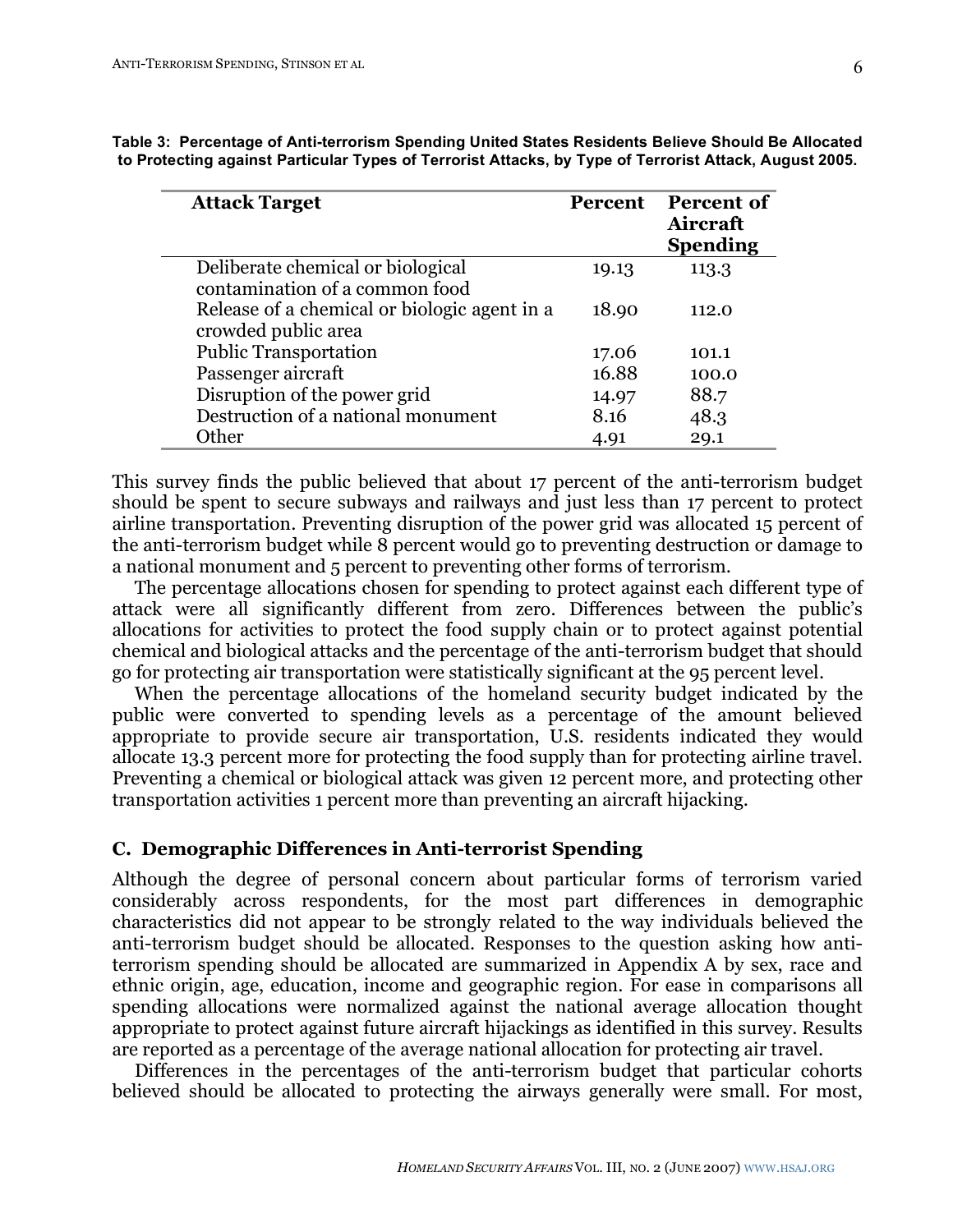| <b>Attack Target</b>                         | <b>Percent</b> | <b>Percent of</b><br>Aircraft<br><b>Spending</b> |
|----------------------------------------------|----------------|--------------------------------------------------|
| Deliberate chemical or biological            | 19.13          | 113.3                                            |
| contamination of a common food               |                |                                                  |
| Release of a chemical or biologic agent in a | 18.90          | 112.0                                            |
| crowded public area                          |                |                                                  |
| <b>Public Transportation</b>                 | 17.06          | 101.1                                            |
| Passenger aircraft                           | 16.88          | 100.0                                            |
| Disruption of the power grid                 | 14.97          | 88.7                                             |
| Destruction of a national monument           | 8.16           | 48.3                                             |
| Other                                        | 4.91           | 29.1                                             |

**Table 3: Percentage of Anti-terrorism Spending United States Residents Believe Should Be Allocated to Protecting against Particular Types of Terrorist Attacks, by Type of Terrorist Attack, August 2005.**

This survey finds the public believed that about 17 percent of the anti-terrorism budget should be spent to secure subways and railways and just less than 17 percent to protect airline transportation. Preventing disruption of the power grid was allocated 15 percent of the anti-terrorism budget while 8 percent would go to preventing destruction or damage to a national monument and 5 percent to preventing other forms of terrorism.

The percentage allocations chosen for spending to protect against each different type of attack were all significantly different from zero. Differences between the public's allocations for activities to protect the food supply chain or to protect against potential chemical and biological attacks and the percentage of the anti-terrorism budget that should go for protecting air transportation were statistically significant at the 95 percent level.

When the percentage allocations of the homeland security budget indicated by the public were converted to spending levels as a percentage of the amount believed appropriate to provide secure air transportation, U.S. residents indicated they would allocate 13.3 percent more for protecting the food supply than for protecting airline travel. Preventing a chemical or biological attack was given 12 percent more, and protecting other transportation activities 1 percent more than preventing an aircraft hijacking.

### **C. Demographic Differences in Anti-terrorist Spending**

Although the degree of personal concern about particular forms of terrorism varied considerably across respondents, for the most part differences in demographic characteristics did not appear to be strongly related to the way individuals believed the anti-terrorism budget should be allocated. Responses to the question asking how antiterrorism spending should be allocated are summarized in Appendix A by sex, race and ethnic origin, age, education, income and geographic region. For ease in comparisons all spending allocations were normalized against the national average allocation thought appropriate to protect against future aircraft hijackings as identified in this survey. Results are reported as a percentage of the average national allocation for protecting air travel.

Differences in the percentages of the anti-terrorism budget that particular cohorts believed should be allocated to protecting the airways generally were small. For most,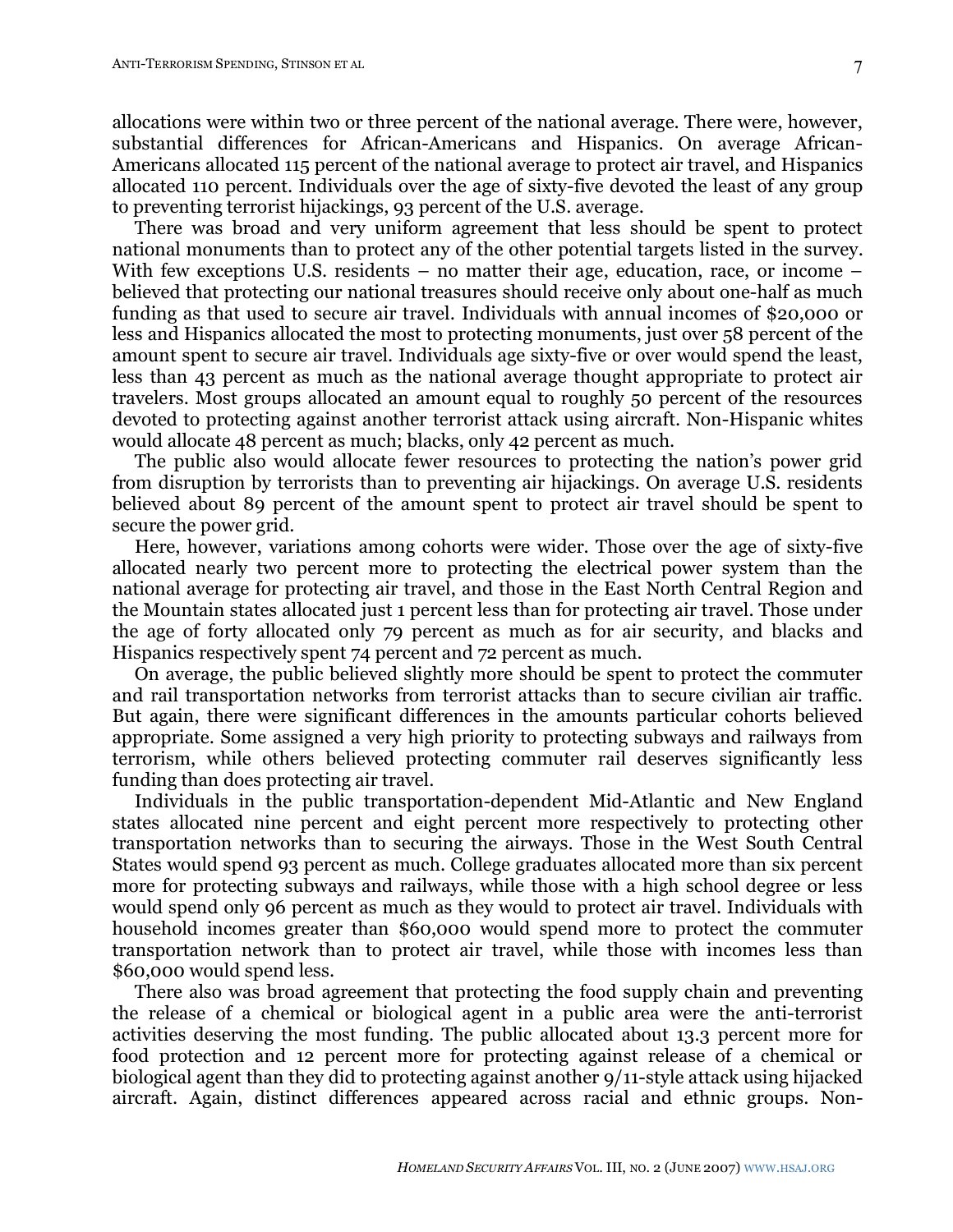allocations were within two or three percent of the national average. There were, however, substantial differences for African-Americans and Hispanics. On average African-Americans allocated 115 percent of the national average to protect air travel, and Hispanics allocated 110 percent. Individuals over the age of sixty-five devoted the least of any group to preventing terrorist hijackings, 93 percent of the U.S. average.

There was broad and very uniform agreement that less should be spent to protect national monuments than to protect any of the other potential targets listed in the survey. With few exceptions U.S. residents – no matter their age, education, race, or income – believed that protecting our national treasures should receive only about one-half as much funding as that used to secure air travel. Individuals with annual incomes of \$20,000 or less and Hispanics allocated the most to protecting monuments, just over 58 percent of the amount spent to secure air travel. Individuals age sixty-five or over would spend the least, less than 43 percent as much as the national average thought appropriate to protect air travelers. Most groups allocated an amount equal to roughly 50 percent of the resources devoted to protecting against another terrorist attack using aircraft. Non-Hispanic whites would allocate 48 percent as much; blacks, only 42 percent as much.

The public also would allocate fewer resources to protecting the nation's power grid from disruption by terrorists than to preventing air hijackings. On average U.S. residents believed about 89 percent of the amount spent to protect air travel should be spent to secure the power grid.

Here, however, variations among cohorts were wider. Those over the age of sixty-five allocated nearly two percent more to protecting the electrical power system than the national average for protecting air travel, and those in the East North Central Region and the Mountain states allocated just 1 percent less than for protecting air travel. Those under the age of forty allocated only 79 percent as much as for air security, and blacks and Hispanics respectively spent 74 percent and 72 percent as much.

On average, the public believed slightly more should be spent to protect the commuter and rail transportation networks from terrorist attacks than to secure civilian air traffic. But again, there were significant differences in the amounts particular cohorts believed appropriate. Some assigned a very high priority to protecting subways and railways from terrorism, while others believed protecting commuter rail deserves significantly less funding than does protecting air travel.

Individuals in the public transportation-dependent Mid-Atlantic and New England states allocated nine percent and eight percent more respectively to protecting other transportation networks than to securing the airways. Those in the West South Central States would spend 93 percent as much. College graduates allocated more than six percent more for protecting subways and railways, while those with a high school degree or less would spend only 96 percent as much as they would to protect air travel. Individuals with household incomes greater than \$60,000 would spend more to protect the commuter transportation network than to protect air travel, while those with incomes less than \$60,000 would spend less.

There also was broad agreement that protecting the food supply chain and preventing the release of a chemical or biological agent in a public area were the anti-terrorist activities deserving the most funding. The public allocated about 13.3 percent more for food protection and 12 percent more for protecting against release of a chemical or biological agent than they did to protecting against another 9/11-style attack using hijacked aircraft. Again, distinct differences appeared across racial and ethnic groups. Non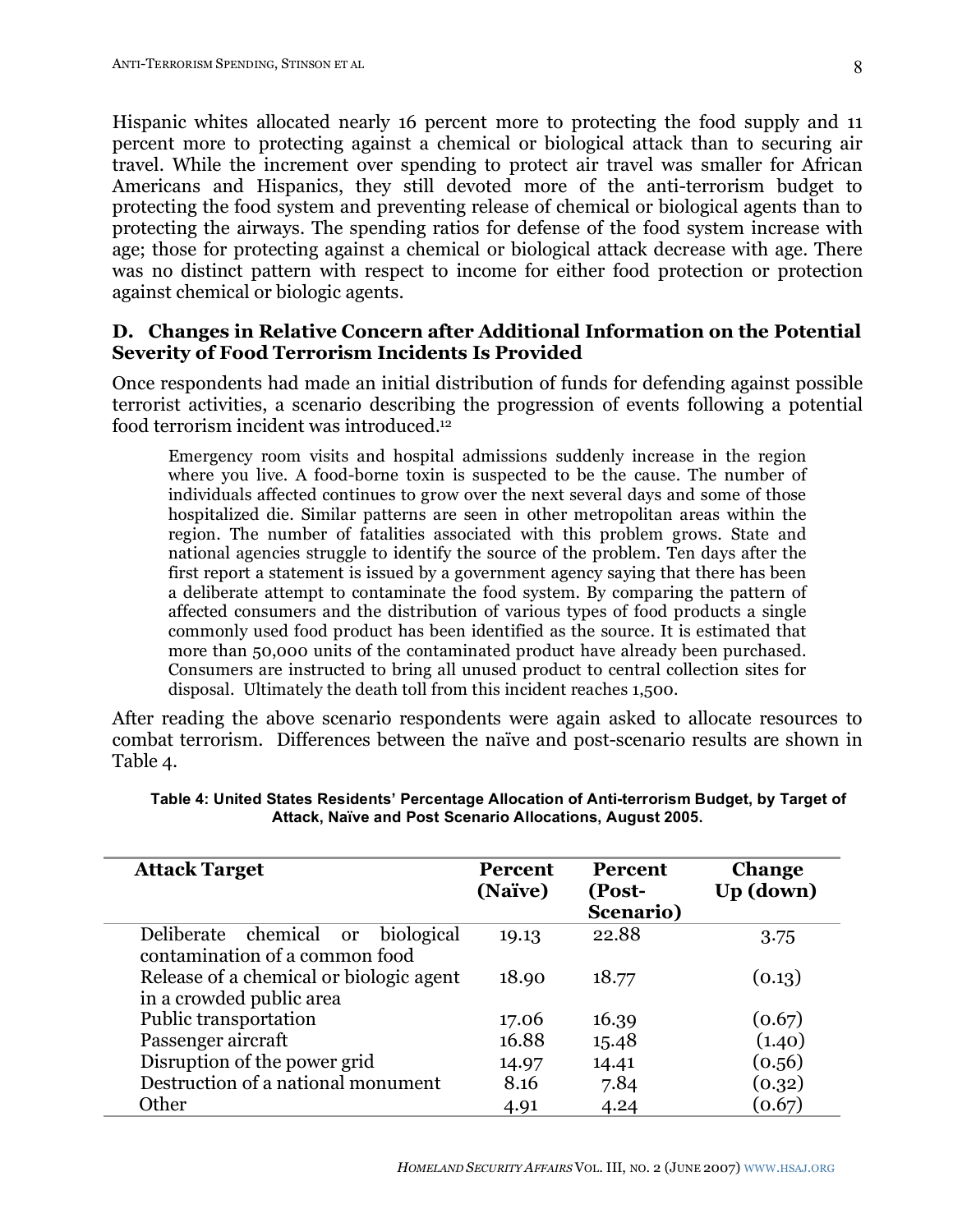Hispanic whites allocated nearly 16 percent more to protecting the food supply and 11 percent more to protecting against a chemical or biological attack than to securing air travel. While the increment over spending to protect air travel was smaller for African Americans and Hispanics, they still devoted more of the anti-terrorism budget to protecting the food system and preventing release of chemical or biological agents than to protecting the airways. The spending ratios for defense of the food system increase with age; those for protecting against a chemical or biological attack decrease with age. There was no distinct pattern with respect to income for either food protection or protection against chemical or biologic agents.

### **D. Changes in Relative Concern after Additional Information on the Potential Severity of Food Terrorism Incidents Is Provided**

Once respondents had made an initial distribution of funds for defending against possible terrorist activities, a scenario describing the progression of events following a potential food terrorism incident was introduced. 12

Emergency room visits and hospital admissions suddenly increase in the region where you live. A food-borne toxin is suspected to be the cause. The number of individuals affected continues to grow over the next several days and some of those hospitalized die. Similar patterns are seen in other metropolitan areas within the region. The number of fatalities associated with this problem grows. State and national agencies struggle to identify the source of the problem. Ten days after the first report a statement is issued by a government agency saying that there has been a deliberate attempt to contaminate the food system. By comparing the pattern of affected consumers and the distribution of various types of food products a single commonly used food product has been identified as the source. It is estimated that more than 50,000 units of the contaminated product have already been purchased. Consumers are instructed to bring all unused product to central collection sites for disposal. Ultimately the death toll from this incident reaches 1,500.

After reading the above scenario respondents were again asked to allocate resources to combat terrorism. Differences between the naïve and post-scenario results are shown in Table 4.

| <b>Attack Target</b>                                                   | <b>Percent</b><br>(Naïve) | <b>Percent</b><br>(Post-<br>Scenario) | <b>Change</b><br>Up (down) |
|------------------------------------------------------------------------|---------------------------|---------------------------------------|----------------------------|
| chemical or biological<br>Deliberate<br>contamination of a common food | 19.13                     | 22.88                                 | 3.75                       |
| Release of a chemical or biologic agent<br>in a crowded public area    | 18.90                     | 18.77                                 | (0.13)                     |
| Public transportation                                                  | 17.06                     | 16.39                                 | (0.67)                     |
| Passenger aircraft                                                     | 16.88                     | 15.48                                 | (1.40)                     |
| Disruption of the power grid                                           | 14.97                     | 14.41                                 | (0.56)                     |
| Destruction of a national monument                                     | 8.16                      | 7.84                                  | (0.32)                     |
| Other                                                                  | 4.91                      | 4.24                                  | (0.67)                     |

#### **Table 4: United States Residents' Percentage Allocation of Anti-terrorism Budget, by Target of Attack, Naïve and Post Scenario Allocations, August 2005.**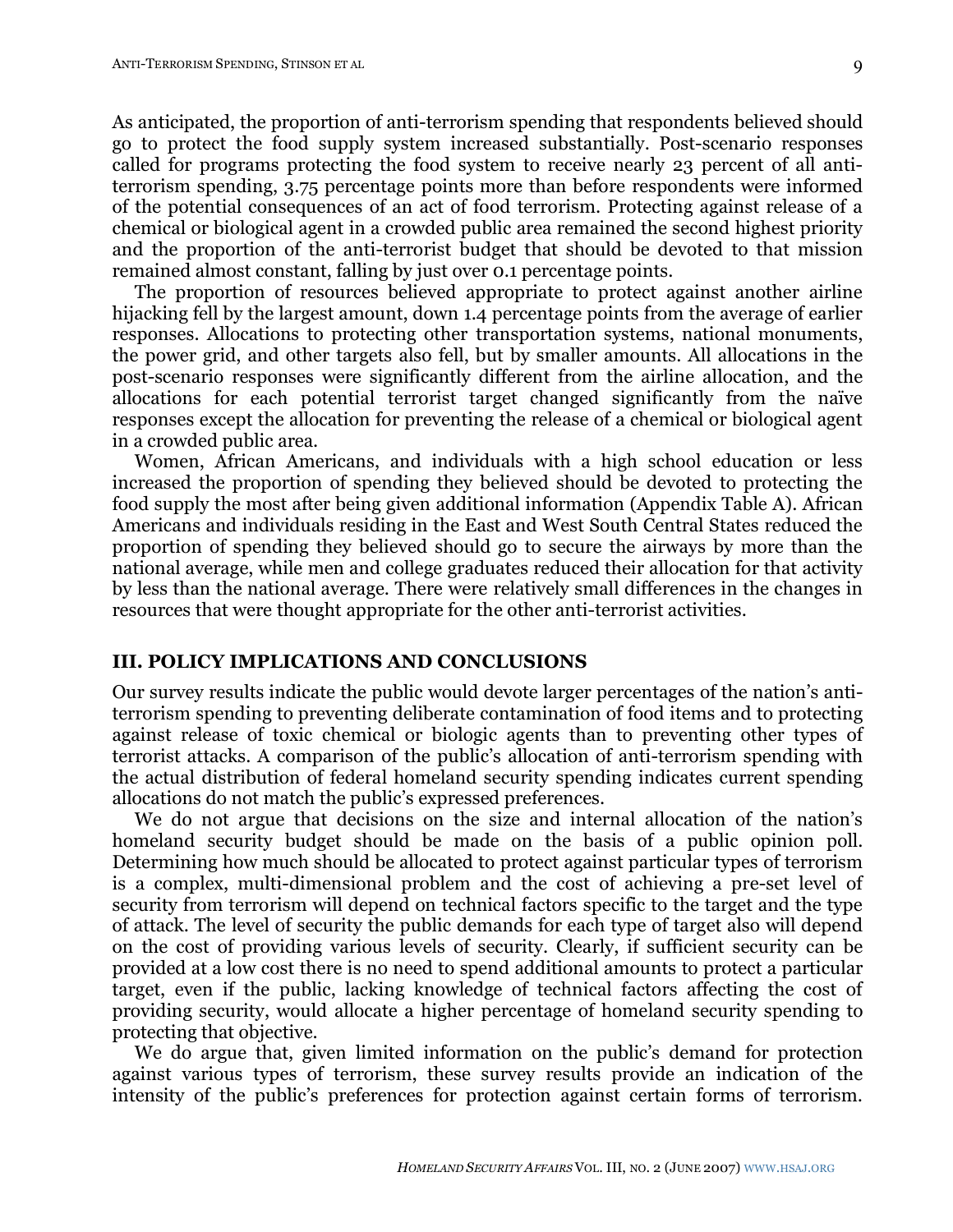As anticipated, the proportion of anti-terrorism spending that respondents believed should go to protect the food supply system increased substantially. Post-scenario responses called for programs protecting the food system to receive nearly 23 percent of all antiterrorism spending, 3.75 percentage points more than before respondents were informed of the potential consequences of an act of food terrorism. Protecting against release of a chemical or biological agent in a crowded public area remained the second highest priority and the proportion of the anti-terrorist budget that should be devoted to that mission remained almost constant, falling by just over 0.1 percentage points.

The proportion of resources believed appropriate to protect against another airline hijacking fell by the largest amount, down 1.4 percentage points from the average of earlier responses. Allocations to protecting other transportation systems, national monuments, the power grid, and other targets also fell, but by smaller amounts. All allocations in the post-scenario responses were significantly different from the airline allocation, and the allocations for each potential terrorist target changed significantly from the naïve responses except the allocation for preventing the release of a chemical or biological agent in a crowded public area.

Women, African Americans, and individuals with a high school education or less increased the proportion of spending they believed should be devoted to protecting the food supply the most after being given additional information (Appendix Table A). African Americans and individuals residing in the East and West South Central States reduced the proportion of spending they believed should go to secure the airways by more than the national average, while men and college graduates reduced their allocation for that activity by less than the national average. There were relatively small differences in the changes in resources that were thought appropriate for the other anti-terrorist activities.

### **III. POLICY IMPLICATIONS AND CONCLUSIONS**

Our survey results indicate the public would devote larger percentages of the nation's antiterrorism spending to preventing deliberate contamination of food items and to protecting against release of toxic chemical or biologic agents than to preventing other types of terrorist attacks. A comparison of the public's allocation of anti-terrorism spending with the actual distribution of federal homeland security spending indicates current spending allocations do not match the public's expressed preferences.

We do not argue that decisions on the size and internal allocation of the nation's homeland security budget should be made on the basis of a public opinion poll. Determining how much should be allocated to protect against particular types of terrorism is a complex, multi-dimensional problem and the cost of achieving a pre-set level of security from terrorism will depend on technical factors specific to the target and the type of attack. The level of security the public demands for each type of target also will depend on the cost of providing various levels of security. Clearly, if sufficient security can be provided at a low cost there is no need to spend additional amounts to protect a particular target, even if the public, lacking knowledge of technical factors affecting the cost of providing security, would allocate a higher percentage of homeland security spending to protecting that objective.

We do argue that, given limited information on the public's demand for protection against various types of terrorism, these survey results provide an indication of the intensity of the public's preferences for protection against certain forms of terrorism.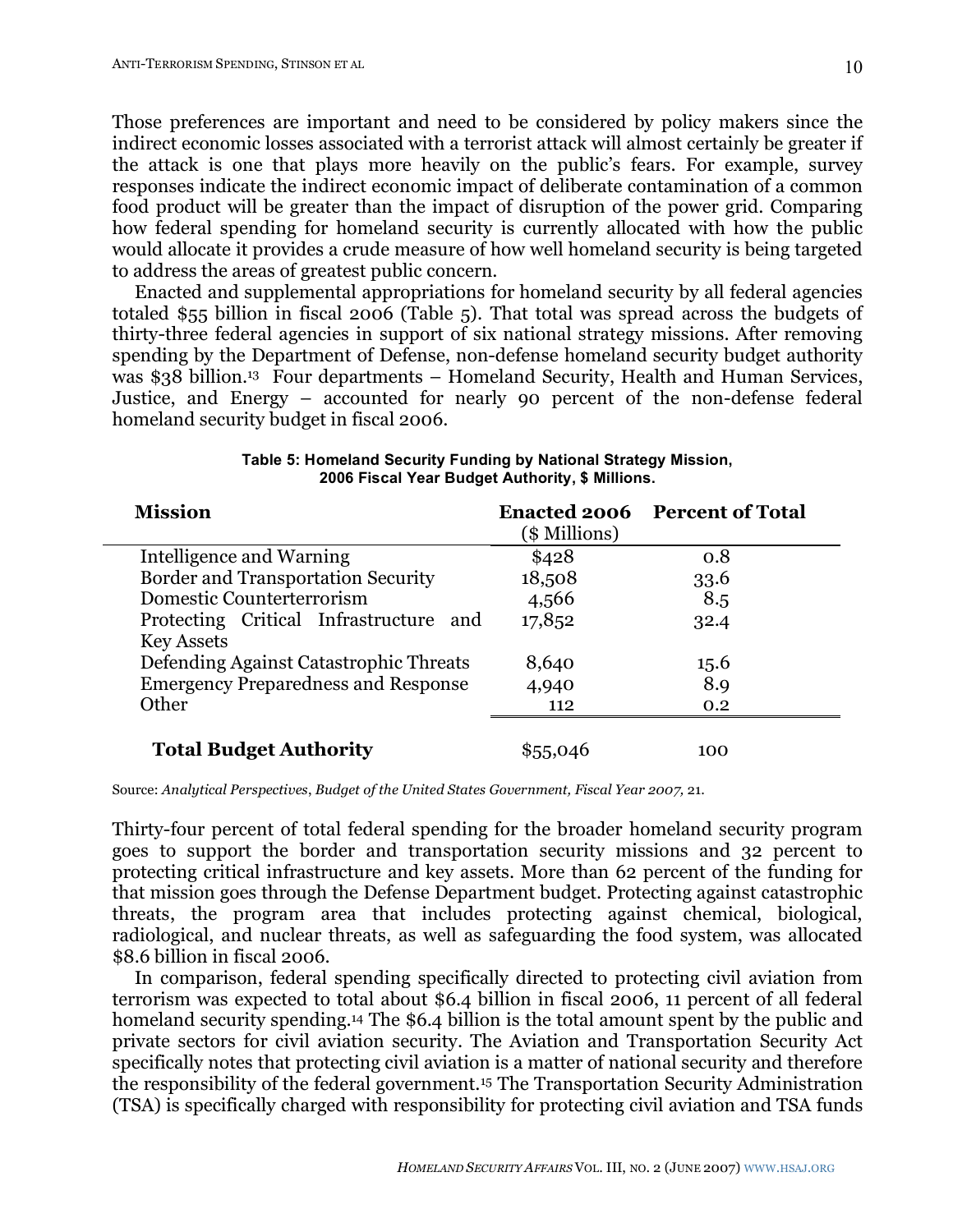Those preferences are important and need to be considered by policy makers since the indirect economic losses associated with a terrorist attack will almost certainly be greater if the attack is one that plays more heavily on the public's fears. For example, survey responses indicate the indirect economic impact of deliberate contamination of a common food product will be greater than the impact of disruption of the power grid. Comparing how federal spending for homeland security is currently allocated with how the public would allocate it provides a crude measure of how well homeland security is being targeted to address the areas of greatest public concern.

Enacted and supplemental appropriations for homeland security by all federal agencies totaled \$55 billion in fiscal 2006 (Table 5). That total was spread across the budgets of thirty-three federal agencies in support of six national strategy missions. After removing spending by the Department of Defense, non-defense homeland security budget authority was \$38 billion.<sup>13</sup> Four departments – Homeland Security, Health and Human Services, Justice, and Energy – accounted for nearly 90 percent of the non-defense federal homeland security budget in fiscal 2006.

| <b>Mission</b>                             |               | <b>Enacted 2006 Percent of Total</b> |
|--------------------------------------------|---------------|--------------------------------------|
|                                            | (\$ Millions) |                                      |
| Intelligence and Warning                   | \$428         | 0.8                                  |
| Border and Transportation Security         | 18,508        | 33.6                                 |
| Domestic Counterterrorism                  | 4,566         | 8.5                                  |
| Protecting Critical Infrastructure and     | 17,852        | 32.4                                 |
| <b>Key Assets</b>                          |               |                                      |
| Defending Against Catastrophic Threats     | 8,640         | 15.6                                 |
| <b>Emergency Preparedness and Response</b> | 4,940         | 8.9                                  |
| Other                                      | 112           | 0.2                                  |
| <b>Total Budget Authority</b>              | \$55,046      | 100                                  |

**Table 5: Homeland Security Funding by National Strategy Mission, 2006 Fiscal Year Budget Authority, \$ Millions.**

Source: *Analytical Perspectives*, *Budget of the United States Government, Fiscal Year 2007,* 21.

Thirty-four percent of total federal spending for the broader homeland security program goes to support the border and transportation security missions and 32 percent to protecting critical infrastructure and key assets. More than 62 percent of the funding for that mission goes through the Defense Department budget. Protecting against catastrophic threats, the program area that includes protecting against chemical, biological, radiological, and nuclear threats, as well as safeguarding the food system, was allocated \$8.6 billion in fiscal 2006.

In comparison, federal spending specifically directed to protecting civil aviation from terrorism was expected to total about \$6.4 billion in fiscal 2006, 11 percent of all federal homeland security spending.<sup>14</sup> The \$6.4 billion is the total amount spent by the public and private sectors for civil aviation security. The Aviation and Transportation Security Act specifically notes that protecting civil aviation is a matter of national security and therefore the responsibility of the federal government.15 The Transportation Security Administration (TSA) is specifically charged with responsibility for protecting civil aviation and TSA funds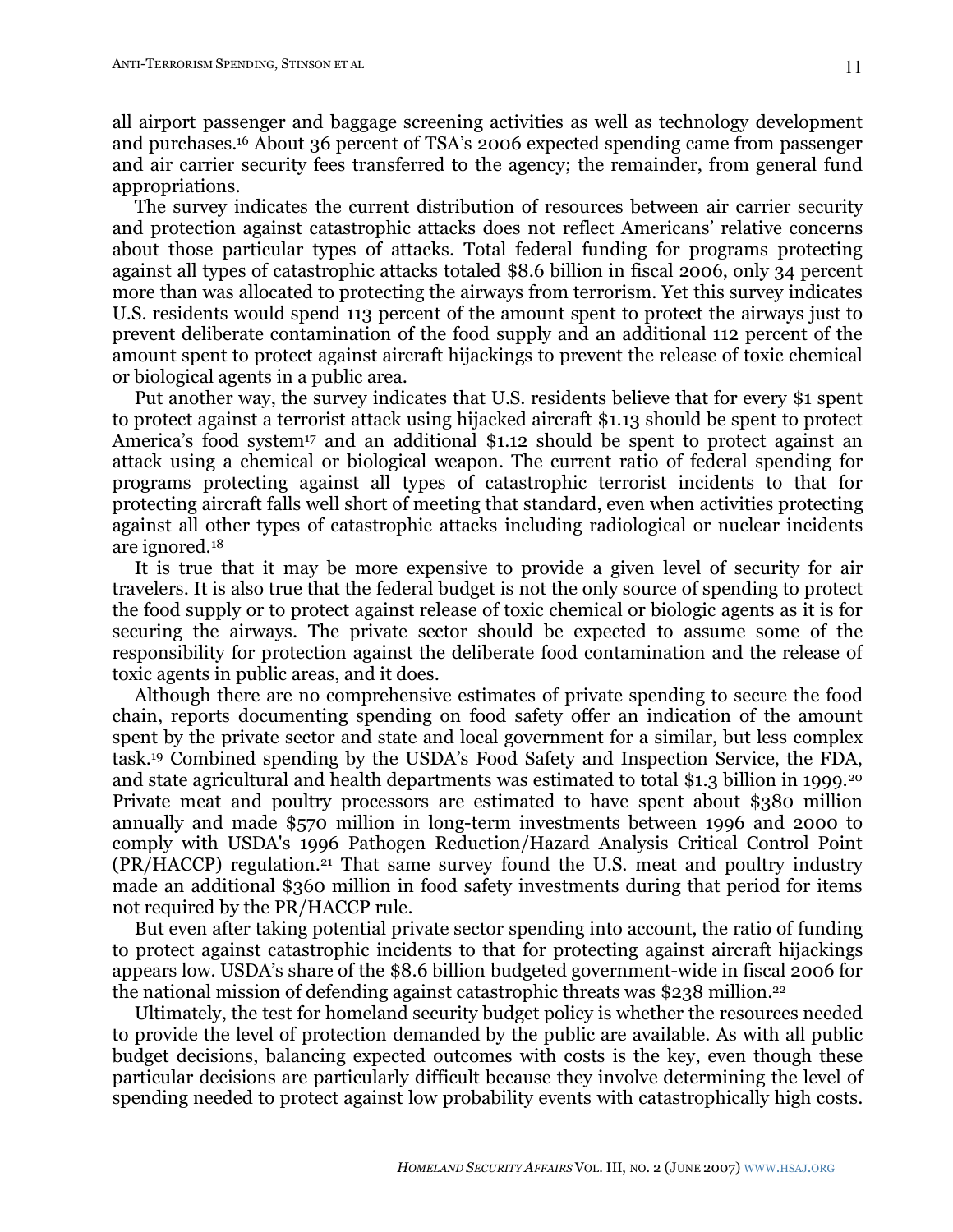all airport passenger and baggage screening activities as well as technology development and purchases. <sup>16</sup> About 36 percent of TSA's 2006 expected spending came from passenger and air carrier security fees transferred to the agency; the remainder, from general fund appropriations.

The survey indicates the current distribution of resources between air carrier security and protection against catastrophic attacks does not reflect Americans' relative concerns about those particular types of attacks. Total federal funding for programs protecting against all types of catastrophic attacks totaled \$8.6 billion in fiscal 2006, only 34 percent more than was allocated to protecting the airways from terrorism. Yet this survey indicates U.S. residents would spend 113 percent of the amount spent to protect the airways just to prevent deliberate contamination of the food supply and an additional 112 percent of the amount spent to protect against aircraft hijackings to prevent the release of toxic chemical or biological agents in a public area.

Put another way, the survey indicates that U.S. residents believe that for every \$1 spent to protect against a terrorist attack using hijacked aircraft \$1.13 should be spent to protect America's food system<sup>17</sup> and an additional \$1.12 should be spent to protect against an attack using a chemical or biological weapon. The current ratio of federal spending for programs protecting against all types of catastrophic terrorist incidents to that for protecting aircraft falls well short of meeting that standard, even when activities protecting against all other types of catastrophic attacks including radiological or nuclear incidents are ignored.18

It is true that it may be more expensive to provide a given level of security for air travelers. It is also true that the federal budget is not the only source of spending to protect the food supply or to protect against release of toxic chemical or biologic agents as it is for securing the airways. The private sector should be expected to assume some of the responsibility for protection against the deliberate food contamination and the release of toxic agents in public areas, and it does.

Although there are no comprehensive estimates of private spending to secure the food chain, reports documenting spending on food safety offer an indication of the amount spent by the private sector and state and local government for a similar, but less complex task.19 Combined spending by the USDA's Food Safety and Inspection Service, the FDA, and state agricultural and health departments was estimated to total \$1.3 billion in 1999.20 Private meat and poultry processors are estimated to have spent about \$380 million annually and made \$570 million in long-term investments between 1996 and 2000 to comply with USDA's 1996 Pathogen Reduction/Hazard Analysis Critical Control Point (PR/HACCP) regulation.21 That same survey found the U.S. meat and poultry industry made an additional \$360 million in food safety investments during that period for items not required by the PR/HACCP rule.

But even after taking potential private sector spending into account, the ratio of funding to protect against catastrophic incidents to that for protecting against aircraft hijackings appears low. USDA's share of the \$8.6 billion budgeted government-wide in fiscal 2006 for the national mission of defending against catastrophic threats was \$238 million. 22

Ultimately, the test for homeland security budget policy is whether the resources needed to provide the level of protection demanded by the public are available. As with all public budget decisions, balancing expected outcomes with costs is the key, even though these particular decisions are particularly difficult because they involve determining the level of spending needed to protect against low probability events with catastrophically high costs.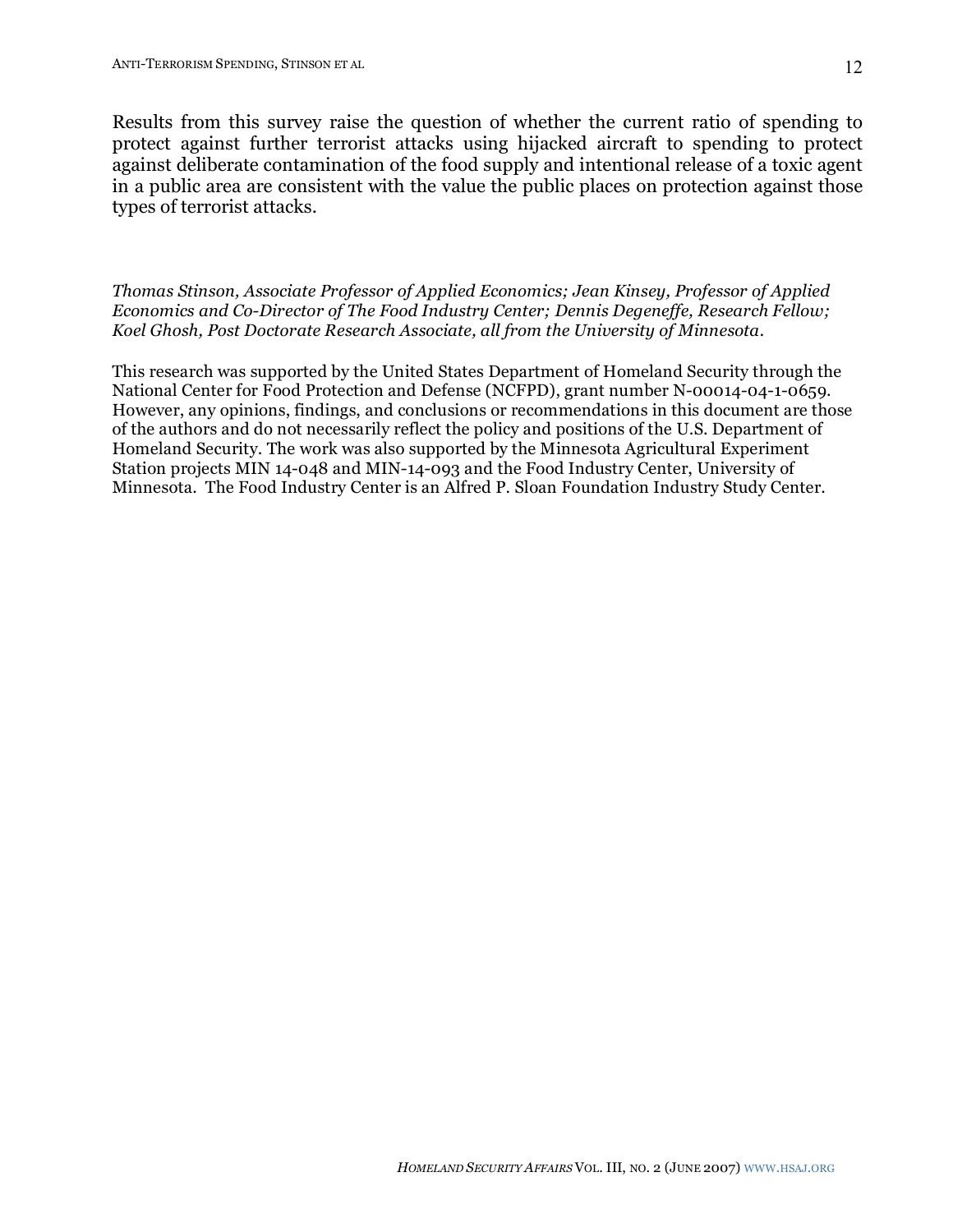12

Results from this survey raise the question of whether the current ratio of spending to protect against further terrorist attacks using hijacked aircraft to spending to protect against deliberate contamination of the food supply and intentional release of a toxic agent in a public area are consistent with the value the public places on protection against those types of terrorist attacks.

*Thomas Stinson, Associate Professor of Applied Economics; Jean Kinsey, Professor of Applied Economics and Co-Director of The Food Industry Center; Dennis Degeneffe, Research Fellow; Koel Ghosh, Post Doctorate Research Associate, all from the University of Minnesota.*

This research was supported by the United States Department of Homeland Security through the National Center for Food Protection and Defense (NCFPD), grant number N-00014-04-1-0659. However, any opinions, findings, and conclusions or recommendations in this document are those of the authors and do not necessarily reflect the policy and positions of the U.S. Department of Homeland Security. The work was also supported by the Minnesota Agricultural Experiment Station projects MIN 14-048 and MIN-14-093 and the Food Industry Center, University of Minnesota. The Food Industry Center is an Alfred P. Sloan Foundation Industry Study Center.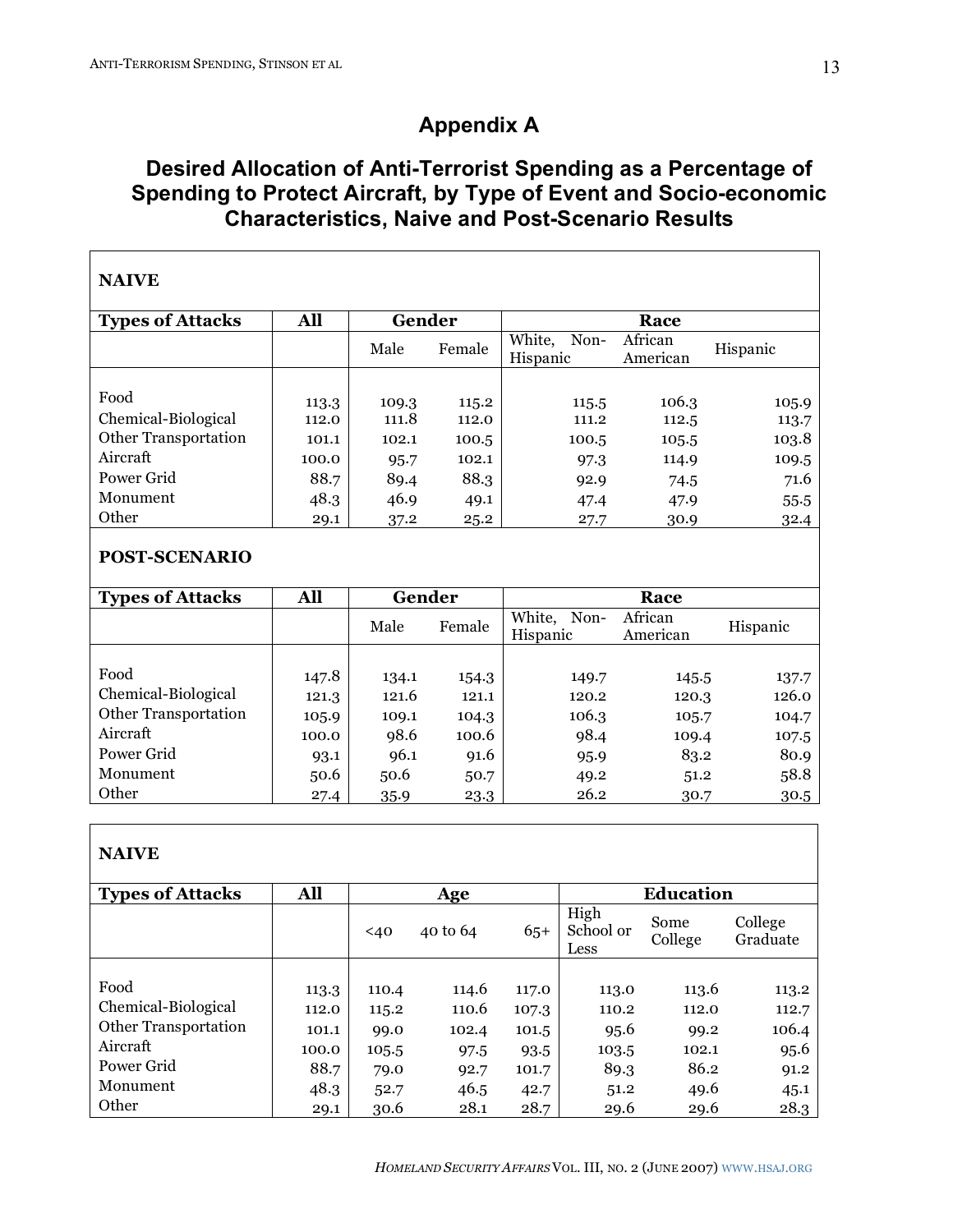# **Appendix A**

# **Desired Allocation of Anti-Terrorist Spending as a Percentage of Spending to Protect Aircraft, by Type of Event and Socio-economic Characteristics, Naive and Post-Scenario Results**

| <b>NAIVE</b>            |       |        |        |                            |                     |          |
|-------------------------|-------|--------|--------|----------------------------|---------------------|----------|
| <b>Types of Attacks</b> | All   | Gender |        |                            | Race                |          |
|                         |       | Male   | Female | White,<br>Non-<br>Hispanic | African<br>American | Hispanic |
|                         |       |        |        |                            |                     |          |
| Food                    | 113.3 | 109.3  | 115.2  | 115.5                      | 106.3               | 105.9    |
| Chemical-Biological     | 112.0 | 111.8  | 112.0  | 111.2                      | 112.5               | 113.7    |
| Other Transportation    | 101.1 | 102.1  | 100.5  | 100.5                      | 105.5               | 103.8    |
| Aircraft                | 100.0 | 95.7   | 102.1  | 97.3                       | 114.9               | 109.5    |
| Power Grid              | 88.7  | 89.4   | 88.3   | 92.9                       | 74.5                | 71.6     |
| Monument                | 48.3  | 46.9   | 49.1   | 47.4                       | 47.9                | 55.5     |
| Other                   | 29.1  | 37.2   | 25.2   | 27.7                       | 30.9                | 32.4     |

## **POST-SCENARIO**

| <b>Types of Attacks</b> | All   | Gender |        |                            |                     |          |
|-------------------------|-------|--------|--------|----------------------------|---------------------|----------|
|                         |       | Male   | Female | White,<br>Non-<br>Hispanic | African<br>American | Hispanic |
|                         |       |        |        |                            |                     |          |
| Food                    | 147.8 | 134.1  | 154.3  | 149.7                      | 145.5               | 137.7    |
| Chemical-Biological     | 121.3 | 121.6  | 121.1  | 120.2                      | 120.3               | 126.0    |
| Other Transportation    | 105.9 | 109.1  | 104.3  | 106.3                      | 105.7               | 104.7    |
| Aircraft                | 100.0 | 98.6   | 100.6  | 98.4                       | 109.4               | 107.5    |
| Power Grid              | 93.1  | 96.1   | 91.6   | 95.9                       | 83.2                | 80.9     |
| Monument                | 50.6  | 50.6   | 50.7   | 49.2                       | 51.2                | 58.8     |
| Other                   | 27.4  | 35.9   | 23.3   | 26.2                       | 30.7                | 30.5     |

## **NAIVE**

| <b>Types of Attacks</b> | All   |       | Age      |       | <b>Education</b>          |                 |                     |  |  |  |
|-------------------------|-------|-------|----------|-------|---------------------------|-----------------|---------------------|--|--|--|
|                         |       | $40$  | 40 to 64 | $65+$ | High<br>School or<br>Less | Some<br>College | College<br>Graduate |  |  |  |
|                         |       |       |          |       |                           |                 |                     |  |  |  |
| Food                    | 113.3 | 110.4 | 114.6    | 117.0 | 113.0                     | 113.6           | 113.2               |  |  |  |
| Chemical-Biological     | 112.0 | 115.2 | 110.6    | 107.3 | 110.2                     | 112.0           | 112.7               |  |  |  |
| Other Transportation    | 101.1 | 99.0  | 102.4    | 101.5 | 95.6                      | 99.2            | 106.4               |  |  |  |
| Aircraft                | 100.0 | 105.5 | 97.5     | 93.5  | 103.5                     | 102.1           | 95.6                |  |  |  |
| Power Grid              | 88.7  | 79.0  | 92.7     | 101.7 | 89.3                      | 86.2            | 91.2                |  |  |  |
| Monument                | 48.3  | 52.7  | 46.5     | 42.7  | 51.2                      | 49.6            | 45.1                |  |  |  |
| Other                   | 29.1  | 30.6  | 28.1     | 28.7  | 29.6                      | 29.6            | 28.3                |  |  |  |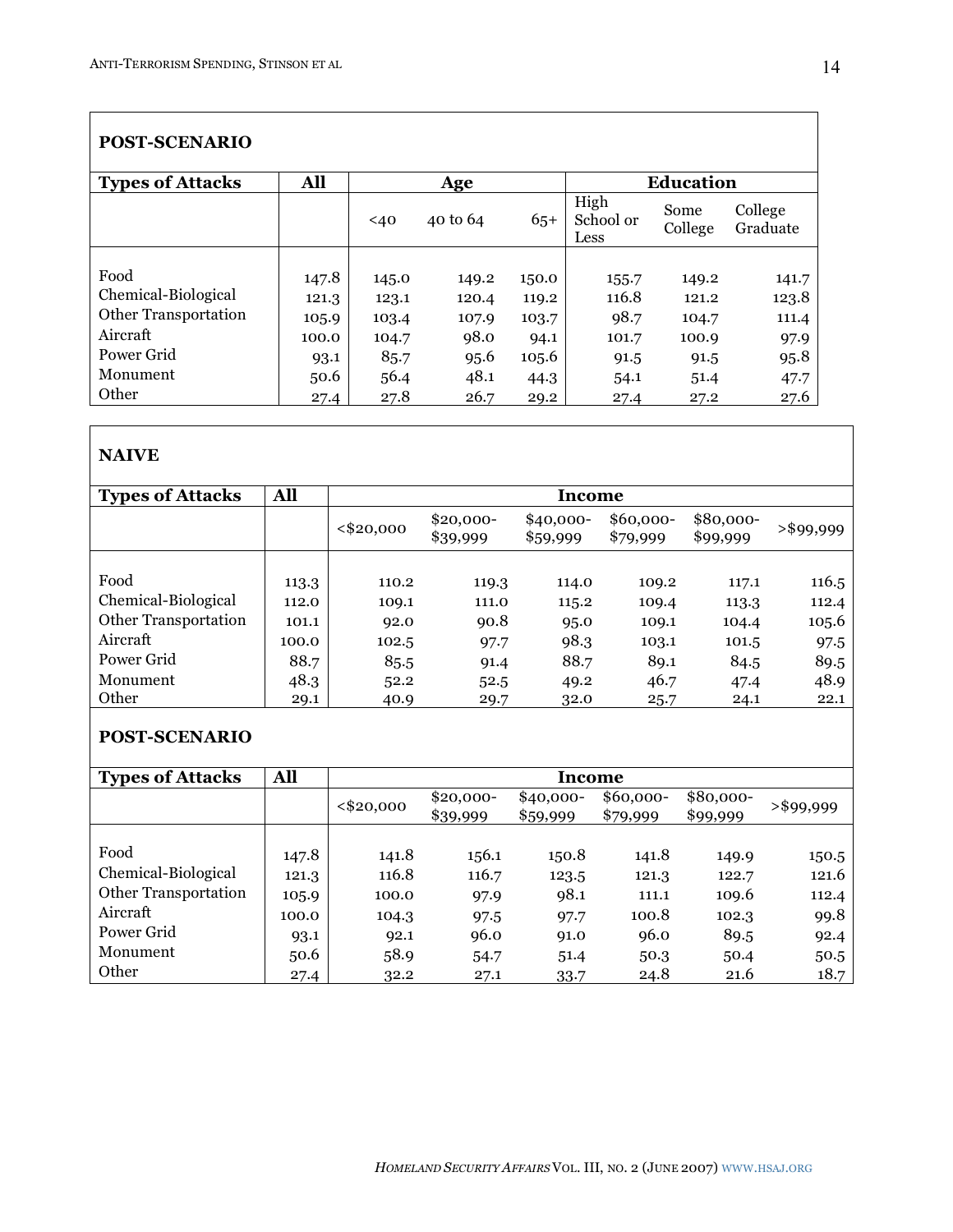#### **POST-SCENARIO Types** of Attacks **All Age Education**  $<40$  40 to 64 65+ High School or Less Some College College Graduate Food 147.8 145.0 149.2 150.0 155.7 149.2 141.7 Chemical-Biological 121.3 123.1 120.4 119.2 116.8 121.2 123.8 Other Transportation 105.9 103.4 107.9 103.7 98.7 104.7 111.4<br>Aircraft 100.0 104.7 98.0 94.1 101.7 100.9 97.9 Aircraft 100.0 104.7 98.0 94.1 101.7 100.9 97.9 Power Grid 93.1 85.7 95.6 105.6 91.5 91.5 95.8 Monument 50.6 56.4 48.1 44.3 54.1 51.4 47.7 Other 27.4 27.8 26.7 29.2 27.4 27.2 27.6

## **NAIVE**

| <b>Types of Attacks</b>     | <b>All</b> | Income     |                        |                        |                       |                       |           |  |  |  |
|-----------------------------|------------|------------|------------------------|------------------------|-----------------------|-----------------------|-----------|--|--|--|
|                             |            | < \$20,000 | $$20,000-$<br>\$39,999 | $$40,000-$<br>\$59,999 | \$60,000-<br>\$79,999 | \$80,000-<br>\$99,999 | >\$99,999 |  |  |  |
|                             |            |            |                        |                        |                       |                       |           |  |  |  |
| Food                        | 113.3      | 110.2      | 119.3                  | 114.0                  | 109.2                 | 117.1                 | 116.5     |  |  |  |
| Chemical-Biological         | 112.0      | 109.1      | 111.0                  | 115.2                  | 109.4                 | 113.3                 | 112.4     |  |  |  |
| <b>Other Transportation</b> | 101.1      | 92.0       | 90.8                   | 95.0                   | 109.1                 | 104.4                 | 105.6     |  |  |  |
| Aircraft                    | 100.0      | 102.5      | 97.7                   | 98.3                   | 103.1                 | 101.5                 | 97.5      |  |  |  |
| Power Grid                  | 88.7       | 85.5       | 91.4                   | 88.7                   | 89.1                  | 84.5                  | 89.5      |  |  |  |
| Monument                    | 48.3       | 52.2       | 52.5                   | 49.2                   | 46.7                  | 47.4                  | 48.9      |  |  |  |
| Other                       | 29.1       | 40.9       | 29.7                   | 32.0                   | 25.7                  | 24.1                  | 22.1      |  |  |  |

## **POST-SCENARIO**

| <b>Types of Attacks</b>     | <b>All</b> | Income     |                        |                        |                        |                       |              |  |  |  |
|-----------------------------|------------|------------|------------------------|------------------------|------------------------|-----------------------|--------------|--|--|--|
|                             |            | < \$20,000 | $$20,000-$<br>\$39,999 | $$40,000-$<br>\$59,999 | $$60,000-$<br>\$79,999 | \$80,000-<br>\$99,999 | $>$ \$99,999 |  |  |  |
|                             |            |            |                        |                        |                        |                       |              |  |  |  |
| Food                        | 147.8      | 141.8      | 156.1                  | 150.8                  | 141.8                  | 149.9                 | 150.5        |  |  |  |
| Chemical-Biological         | 121.3      | 116.8      | 116.7                  | 123.5                  | 121.3                  | 122.7                 | 121.6        |  |  |  |
| <b>Other Transportation</b> | 105.9      | 100.0      | 97.9                   | 98.1                   | 111.1                  | 109.6                 | 112.4        |  |  |  |
| Aircraft                    | 100.0      | 104.3      | 97.5                   | 97.7                   | 100.8                  | 102.3                 | 99.8         |  |  |  |
| Power Grid                  | 93.1       | 92.1       | 96.0                   | 91.0                   | 96.0                   | 89.5                  | 92.4         |  |  |  |
| Monument                    | 50.6       | 58.9       | 54.7                   | 51.4                   | 50.3                   | 50.4                  | 50.5         |  |  |  |
| Other                       | 27.4       | 32.2       | 27.1                   | 33.7                   | 24.8                   | 21.6                  | 18.7         |  |  |  |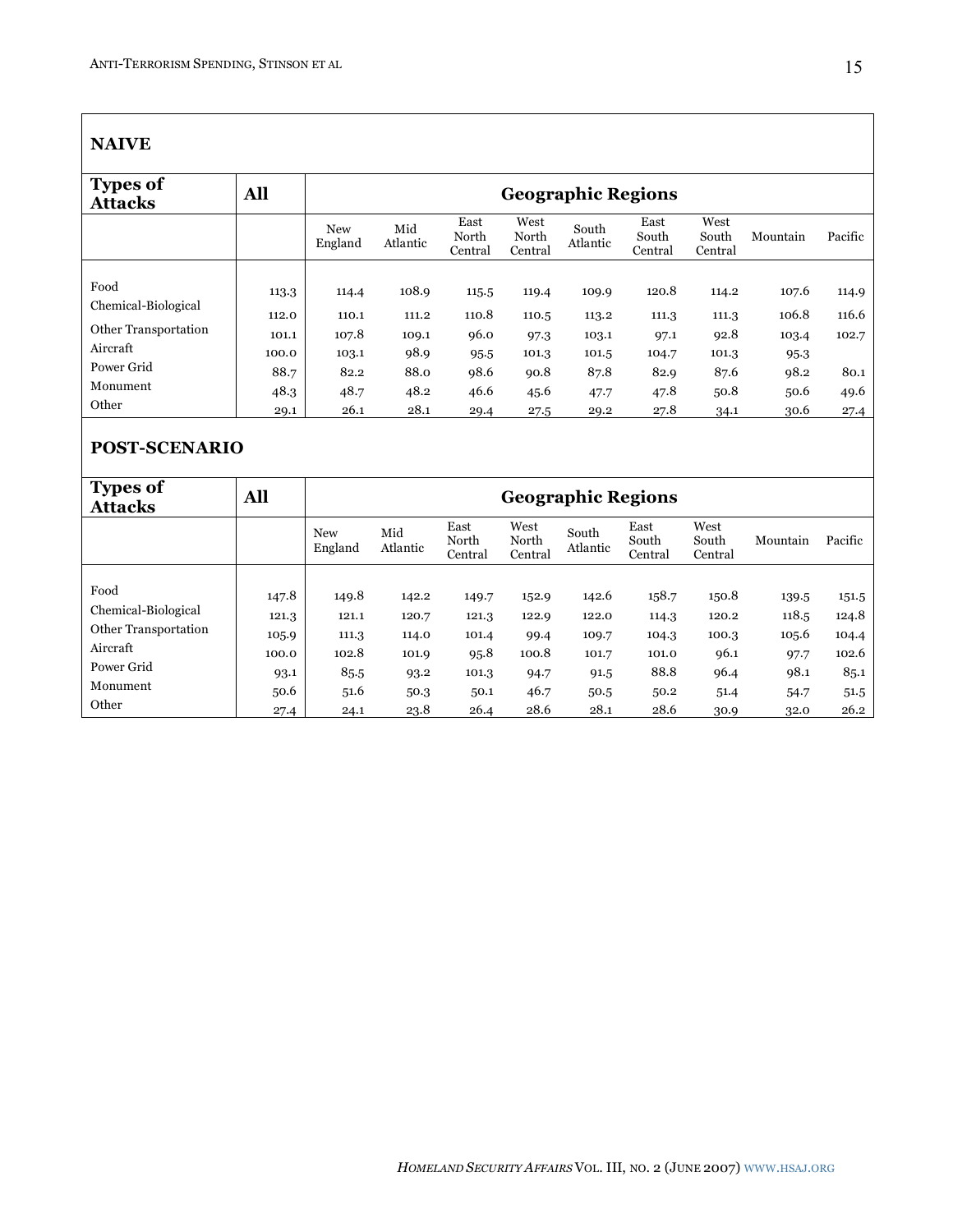### **NAIVE**

| <b>Types of</b><br><b>Attacks</b> | All   |                       | <b>Geographic Regions</b> |                          |                          |                   |                          |                          |          |         |  |
|-----------------------------------|-------|-----------------------|---------------------------|--------------------------|--------------------------|-------------------|--------------------------|--------------------------|----------|---------|--|
|                                   |       | <b>New</b><br>England | Mid<br>Atlantic           | East<br>North<br>Central | West<br>North<br>Central | South<br>Atlantic | East<br>South<br>Central | West<br>South<br>Central | Mountain | Pacific |  |
|                                   |       |                       |                           |                          |                          |                   |                          |                          |          |         |  |
| Food                              | 113.3 | 114.4                 | 108.9                     | 115.5                    | 119.4                    | 109.9             | 120.8                    | 114.2                    | 107.6    | 114.9   |  |
| Chemical-Biological               | 112.0 | 110.1                 | 111.2                     | 110.8                    | 110.5                    | 113.2             | 111.3                    | 111.3                    | 106.8    | 116.6   |  |
| Other Transportation              | 101.1 | 107.8                 | 109.1                     | 96.0                     | 97.3                     | 103.1             | 97.1                     | 92.8                     | 103.4    | 102.7   |  |
| Aircraft                          | 100.0 | 103.1                 | 98.9                      | 95.5                     | 101.3                    | 101.5             | 104.7                    | 101.3                    | 95.3     |         |  |
| Power Grid                        | 88.7  | 82.2                  | 88.0                      | 98.6                     | 90.8                     | 87.8              | 82.9                     | 87.6                     | 98.2     | 80.1    |  |
| Monument                          | 48.3  | 48.7                  | 48.2                      | 46.6                     | 45.6                     | 47.7              | 47.8                     | 50.8                     | 50.6     | 49.6    |  |
| Other                             | 29.1  | 26.1                  | 28.1                      | 29.4                     | 27.5                     | 29.2              | 27.8                     | 34.1                     | 30.6     | 27.4    |  |

## **POST-SCENARIO**

| <b>Types of</b><br><b>Attacks</b> | All   |                       | <b>Geographic Regions</b> |                          |                          |                   |                          |                          |          |         |  |
|-----------------------------------|-------|-----------------------|---------------------------|--------------------------|--------------------------|-------------------|--------------------------|--------------------------|----------|---------|--|
|                                   |       | <b>New</b><br>England | Mid<br>Atlantic           | East<br>North<br>Central | West<br>North<br>Central | South<br>Atlantic | East<br>South<br>Central | West<br>South<br>Central | Mountain | Pacific |  |
|                                   |       |                       |                           |                          |                          |                   |                          |                          |          |         |  |
| Food                              | 147.8 | 149.8                 | 142.2                     | 149.7                    | 152.9                    | 142.6             | 158.7                    | 150.8                    | 139.5    | 151.5   |  |
| Chemical-Biological               | 121.3 | 121.1                 | 120.7                     | 121.3                    | 122.9                    | 122.0             | 114.3                    | 120.2                    | 118.5    | 124.8   |  |
| Other Transportation              | 105.9 | 111.3                 | 114.0                     | 101.4                    | 99.4                     | 109.7             | 104.3                    | 100.3                    | 105.6    | 104.4   |  |
| Aircraft                          | 100.0 | 102.8                 | 101.9                     | 95.8                     | 100.8                    | 101.7             | 101.0                    | 96.1                     | 97.7     | 102.6   |  |
| Power Grid                        | 93.1  | 85.5                  | 93.2                      | 101.3                    | 94.7                     | 91.5              | 88.8                     | 96.4                     | 98.1     | 85.1    |  |
| Monument                          | 50.6  | 51.6                  | 50.3                      | 50.1                     | 46.7                     | 50.5              | 50.2                     | 51.4                     | 54.7     | 51.5    |  |
| Other                             | 27.4  | 24.1                  | 23.8                      | 26.4                     | 28.6                     | 28.1              | 28.6                     | 30.9                     | 32.0     | 26.2    |  |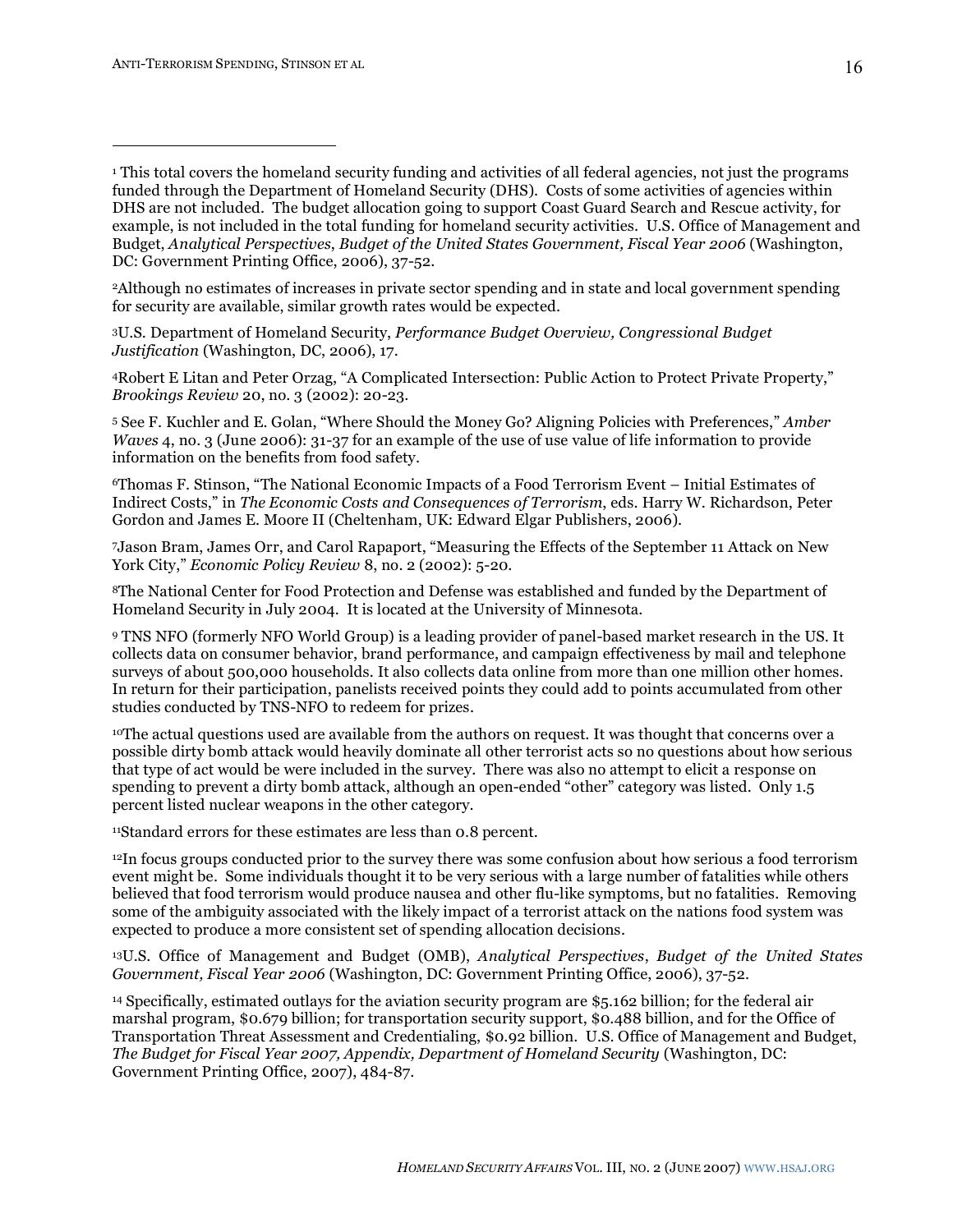$\overline{a}$ 

2Although no estimates of increases in private sector spending and in state and local government spending for security are available, similar growth rates would be expected.

3U.S. Department of Homeland Security, *Performance Budget Overview, Congressional Budget Justification* (Washington, DC, 2006), 17.

4Robert E Litan and Peter Orzag, "A Complicated Intersection: Public Action to Protect Private Property," *Brookings Review* 20, no. 3 (2002): 20-23.

<sup>5</sup> See F. Kuchler and E. Golan, "Where Should the Money Go? Aligning Policies with Preferences," *Amber Waves* 4, no. 3 (June 2006): 31-37 for an example of the use of use value of life information to provide information on the benefits from food safety.

6Thomas F. Stinson, "The National Economic Impacts of a Food Terrorism Event – Initial Estimates of Indirect Costs," in *The Economic Costs and Consequences of Terrorism*, eds. Harry W. Richardson, Peter Gordon and James E. Moore II (Cheltenham, UK: Edward Elgar Publishers, 2006).

7Jason Bram, James Orr, and Carol Rapaport, "Measuring the Effects of the September 11 Attack on New York City," *Economic Policy Review* 8, no. 2 (2002): 5-20.

8The National Center for Food Protection and Defense was established and funded by the Department of Homeland Security in July 2004. It is located at the University of Minnesota.

<sup>9</sup> TNS NFO (formerly NFO World Group) is a leading provider of panel-based market research in the US. It collects data on consumer behavior, brand performance, and campaign effectiveness by mail and telephone surveys of about 500,000 households. It also collects data online from more than one million other homes. In return for their participation, panelists received points they could add to points accumulated from other studies conducted by TNS-NFO to redeem for prizes.

10The actual questions used are available from the authors on request. It was thought that concerns over a possible dirty bomb attack would heavily dominate all other terrorist acts so no questions about how serious that type of act would be were included in the survey. There was also no attempt to elicit a response on spending to prevent a dirty bomb attack, although an open-ended "other" category was listed. Only 1.5 percent listed nuclear weapons in the other category.

11Standard errors for these estimates are less than 0.8 percent.

12In focus groups conducted prior to the survey there was some confusion about how serious a food terrorism event might be. Some individuals thought it to be very serious with a large number of fatalities while others believed that food terrorism would produce nausea and other flu-like symptoms, but no fatalities. Removing some of the ambiguity associated with the likely impact of a terrorist attack on the nations food system was expected to produce a more consistent set of spending allocation decisions.

13U.S. Office of Management and Budget (OMB), *Analytical Perspectives*, *Budget of the United States Government, Fiscal Year 2006* (Washington, DC: Government Printing Office, 2006), 37-52.

<sup>14</sup> Specifically, estimated outlays for the aviation security program are \$5.162 billion; for the federal air marshal program, \$0.679 billion; for transportation security support, \$0.488 billion, and for the Office of Transportation Threat Assessment and Credentialing, \$0.92 billion. U.S. Office of Management and Budget, *The Budget for Fiscal Year 2007, Appendix, Department of Homeland Security* (Washington, DC: Government Printing Office, 2007), 484-87.

<sup>1</sup> This total covers the homeland security funding and activities of all federal agencies, not just the programs funded through the Department of Homeland Security (DHS). Costs of some activities of agencies within DHS are not included. The budget allocation going to support Coast Guard Search and Rescue activity, for example, is not included in the total funding for homeland security activities. U.S. Office of Management and Budget, *Analytical Perspectives*, *Budget of the United States Government, Fiscal Year 2006* (Washington, DC: Government Printing Office, 2006), 37-52.